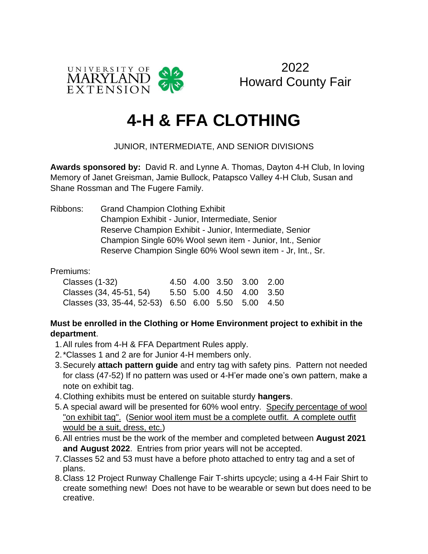

2022 Howard County Fair

# **4-H & FFA CLOTHING**

### JUNIOR, INTERMEDIATE, AND SENIOR DIVISIONS

**Awards sponsored by:** David R. and Lynne A. Thomas, Dayton 4-H Club, In loving Memory of Janet Greisman, Jamie Bullock, Patapsco Valley 4-H Club, Susan and Shane Rossman and The Fugere Family.

Ribbons: Grand Champion Clothing Exhibit Champion Exhibit - Junior, Intermediate, Senior Reserve Champion Exhibit - Junior, Intermediate, Senior Champion Single 60% Wool sewn item - Junior, Int., Senior Reserve Champion Single 60% Wool sewn item - Jr, Int., Sr.

#### Premiums:

| Classes (1-32)                                      |  | 4.50 4.00 3.50 3.00 2.00 |  |
|-----------------------------------------------------|--|--------------------------|--|
| Classes (34, 45-51, 54) 5.50 5.00 4.50 4.00 3.50    |  |                          |  |
| Classes (33, 35-44, 52-53) 6.50 6.00 5.50 5.00 4.50 |  |                          |  |

#### **Must be enrolled in the Clothing or Home Environment project to exhibit in the department**.

- 1.All rules from 4-H & FFA Department Rules apply.
- 2.\*Classes 1 and 2 are for Junior 4-H members only.
- 3.Securely **attach pattern guide** and entry tag with safety pins. Pattern not needed for class (47-52) If no pattern was used or 4-H'er made one's own pattern, make a note on exhibit tag.
- 4.Clothing exhibits must be entered on suitable sturdy **hangers**.
- 5.A special award will be presented for 60% wool entry. Specify percentage of wool "on exhibit tag". (Senior wool item must be a complete outfit. A complete outfit would be a suit, dress, etc.)
- 6.All entries must be the work of the member and completed between **August 2021 and August 2022**. Entries from prior years will not be accepted.
- 7.Classes 52 and 53 must have a before photo attached to entry tag and a set of plans.
- 8.Class 12 Project Runway Challenge Fair T-shirts upcycle; using a 4-H Fair Shirt to create something new! Does not have to be wearable or sewn but does need to be creative.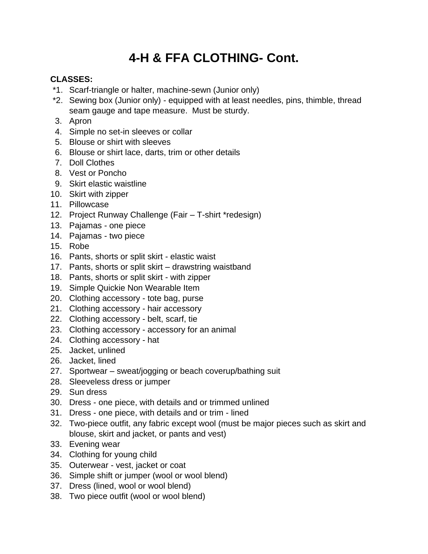## **4-H & FFA CLOTHING- Cont.**

#### **CLASSES:**

- \*1. Scarf-triangle or halter, machine-sewn (Junior only)
- \*2. Sewing box (Junior only) equipped with at least needles, pins, thimble, thread seam gauge and tape measure. Must be sturdy.
- 3. Apron
- 4. Simple no set-in sleeves or collar
- 5. Blouse or shirt with sleeves
- 6. Blouse or shirt lace, darts, trim or other details
- 7. Doll Clothes
- 8. Vest or Poncho
- 9. Skirt elastic waistline
- 10. Skirt with zipper
- 11. Pillowcase
- 12. Project Runway Challenge (Fair T-shirt \*redesign)
- 13. Pajamas one piece
- 14. Pajamas two piece
- 15. Robe
- 16. Pants, shorts or split skirt elastic waist
- 17. Pants, shorts or split skirt drawstring waistband
- 18. Pants, shorts or split skirt with zipper
- 19. Simple Quickie Non Wearable Item
- 20. Clothing accessory tote bag, purse
- 21. Clothing accessory hair accessory
- 22. Clothing accessory belt, scarf, tie
- 23. Clothing accessory accessory for an animal
- 24. Clothing accessory hat
- 25. Jacket, unlined
- 26. Jacket, lined
- 27. Sportwear sweat/jogging or beach coverup/bathing suit
- 28. Sleeveless dress or jumper
- 29. Sun dress
- 30. Dress one piece, with details and or trimmed unlined
- 31. Dress one piece, with details and or trim lined
- 32. Two-piece outfit, any fabric except wool (must be major pieces such as skirt and blouse, skirt and jacket, or pants and vest)
- 33. Evening wear
- 34. Clothing for young child
- 35. Outerwear vest, jacket or coat
- 36. Simple shift or jumper (wool or wool blend)
- 37. Dress (lined, wool or wool blend)
- 38. Two piece outfit (wool or wool blend)